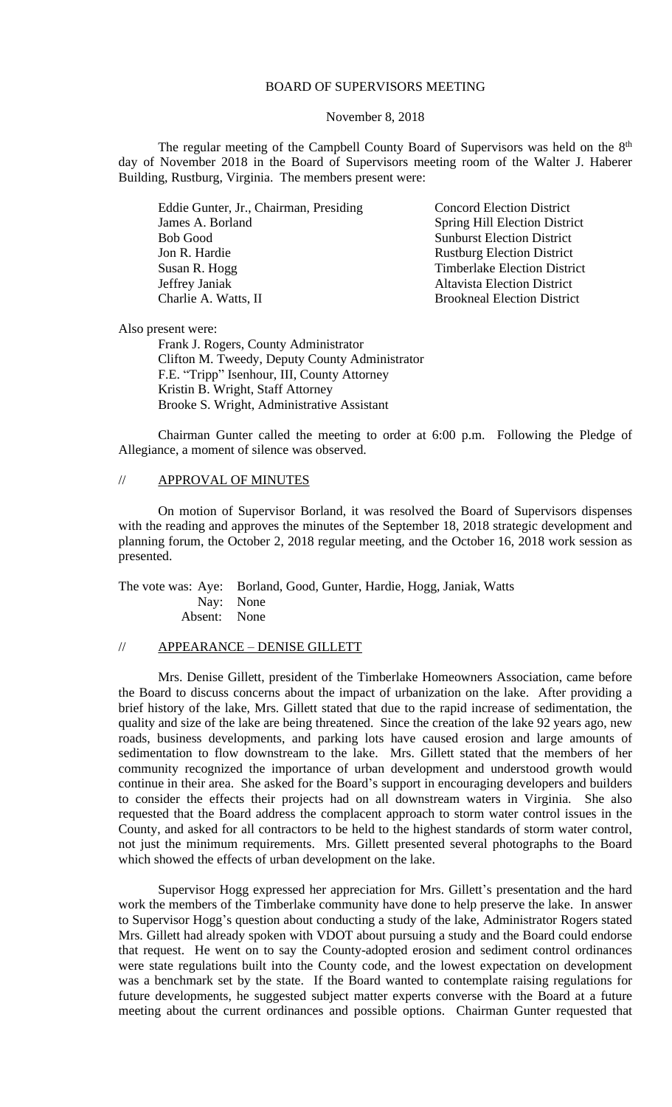### BOARD OF SUPERVISORS MEETING

#### November 8, 2018

The regular meeting of the Campbell County Board of Supervisors was held on the 8<sup>th</sup> day of November 2018 in the Board of Supervisors meeting room of the Walter J. Haberer Building, Rustburg, Virginia. The members present were:

Eddie Gunter, Jr., Chairman, Presiding Concord Election District James A. Borland Spring Hill Election District Bob Good Sunburst Election District Jon R. Hardie Rustburg Election District Susan R. Hogg Timberlake Election District Jeffrey Janiak Altavista Election District Charlie A. Watts, II Brookneal Election District

Also present were:

Frank J. Rogers, County Administrator Clifton M. Tweedy, Deputy County Administrator F.E. "Tripp" Isenhour, III, County Attorney Kristin B. Wright, Staff Attorney Brooke S. Wright, Administrative Assistant

Chairman Gunter called the meeting to order at 6:00 p.m. Following the Pledge of Allegiance, a moment of silence was observed.

### // APPROVAL OF MINUTES

On motion of Supervisor Borland, it was resolved the Board of Supervisors dispenses with the reading and approves the minutes of the September 18, 2018 strategic development and planning forum, the October 2, 2018 regular meeting, and the October 16, 2018 work session as presented.

The vote was: Aye: Borland, Good, Gunter, Hardie, Hogg, Janiak, Watts Nay: None Absent: None

#### // APPEARANCE – DENISE GILLETT

Mrs. Denise Gillett, president of the Timberlake Homeowners Association, came before the Board to discuss concerns about the impact of urbanization on the lake. After providing a brief history of the lake, Mrs. Gillett stated that due to the rapid increase of sedimentation, the quality and size of the lake are being threatened. Since the creation of the lake 92 years ago, new roads, business developments, and parking lots have caused erosion and large amounts of sedimentation to flow downstream to the lake. Mrs. Gillett stated that the members of her community recognized the importance of urban development and understood growth would continue in their area. She asked for the Board's support in encouraging developers and builders to consider the effects their projects had on all downstream waters in Virginia. She also requested that the Board address the complacent approach to storm water control issues in the County, and asked for all contractors to be held to the highest standards of storm water control, not just the minimum requirements. Mrs. Gillett presented several photographs to the Board which showed the effects of urban development on the lake.

Supervisor Hogg expressed her appreciation for Mrs. Gillett's presentation and the hard work the members of the Timberlake community have done to help preserve the lake. In answer to Supervisor Hogg's question about conducting a study of the lake, Administrator Rogers stated Mrs. Gillett had already spoken with VDOT about pursuing a study and the Board could endorse that request. He went on to say the County-adopted erosion and sediment control ordinances were state regulations built into the County code, and the lowest expectation on development was a benchmark set by the state. If the Board wanted to contemplate raising regulations for future developments, he suggested subject matter experts converse with the Board at a future meeting about the current ordinances and possible options. Chairman Gunter requested that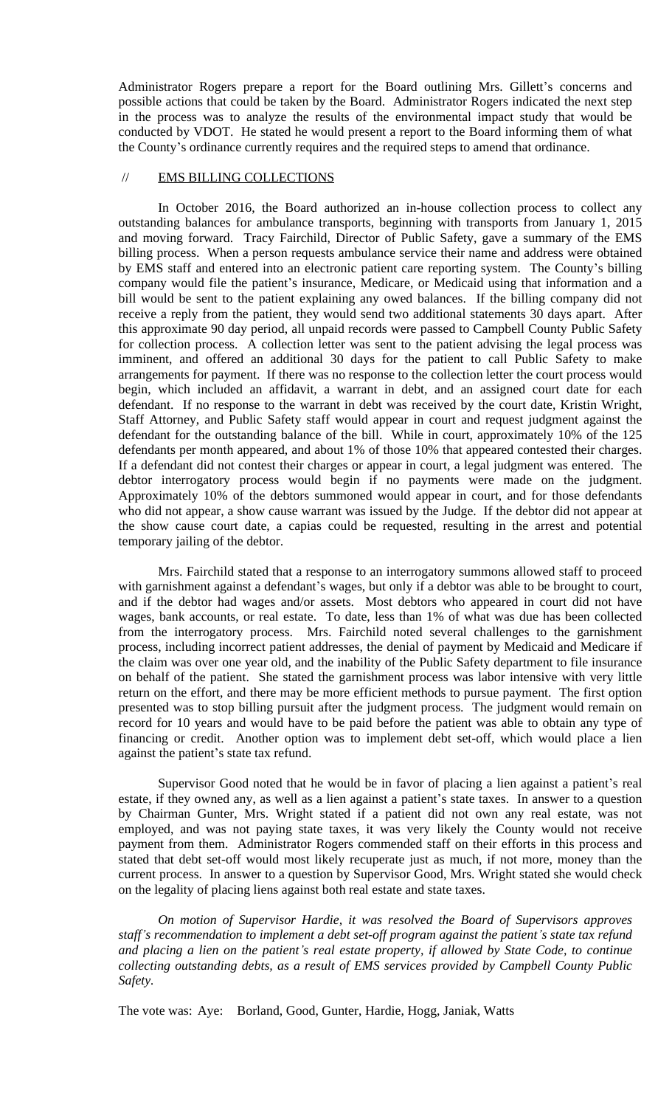Administrator Rogers prepare a report for the Board outlining Mrs. Gillett's concerns and possible actions that could be taken by the Board. Administrator Rogers indicated the next step in the process was to analyze the results of the environmental impact study that would be conducted by VDOT. He stated he would present a report to the Board informing them of what the County's ordinance currently requires and the required steps to amend that ordinance.

### // EMS BILLING COLLECTIONS

In October 2016, the Board authorized an in-house collection process to collect any outstanding balances for ambulance transports, beginning with transports from January 1, 2015 and moving forward. Tracy Fairchild, Director of Public Safety, gave a summary of the EMS billing process. When a person requests ambulance service their name and address were obtained by EMS staff and entered into an electronic patient care reporting system. The County's billing company would file the patient's insurance, Medicare, or Medicaid using that information and a bill would be sent to the patient explaining any owed balances. If the billing company did not receive a reply from the patient, they would send two additional statements 30 days apart. After this approximate 90 day period, all unpaid records were passed to Campbell County Public Safety for collection process. A collection letter was sent to the patient advising the legal process was imminent, and offered an additional 30 days for the patient to call Public Safety to make arrangements for payment. If there was no response to the collection letter the court process would begin, which included an affidavit, a warrant in debt, and an assigned court date for each defendant. If no response to the warrant in debt was received by the court date, Kristin Wright, Staff Attorney, and Public Safety staff would appear in court and request judgment against the defendant for the outstanding balance of the bill. While in court, approximately 10% of the 125 defendants per month appeared, and about 1% of those 10% that appeared contested their charges. If a defendant did not contest their charges or appear in court, a legal judgment was entered. The debtor interrogatory process would begin if no payments were made on the judgment. Approximately 10% of the debtors summoned would appear in court, and for those defendants who did not appear, a show cause warrant was issued by the Judge. If the debtor did not appear at the show cause court date, a capias could be requested, resulting in the arrest and potential temporary jailing of the debtor.

Mrs. Fairchild stated that a response to an interrogatory summons allowed staff to proceed with garnishment against a defendant's wages, but only if a debtor was able to be brought to court, and if the debtor had wages and/or assets. Most debtors who appeared in court did not have wages, bank accounts, or real estate. To date, less than 1% of what was due has been collected from the interrogatory process. Mrs. Fairchild noted several challenges to the garnishment process, including incorrect patient addresses, the denial of payment by Medicaid and Medicare if the claim was over one year old, and the inability of the Public Safety department to file insurance on behalf of the patient. She stated the garnishment process was labor intensive with very little return on the effort, and there may be more efficient methods to pursue payment. The first option presented was to stop billing pursuit after the judgment process. The judgment would remain on record for 10 years and would have to be paid before the patient was able to obtain any type of financing or credit. Another option was to implement debt set-off, which would place a lien against the patient's state tax refund.

Supervisor Good noted that he would be in favor of placing a lien against a patient's real estate, if they owned any, as well as a lien against a patient's state taxes. In answer to a question by Chairman Gunter, Mrs. Wright stated if a patient did not own any real estate, was not employed, and was not paying state taxes, it was very likely the County would not receive payment from them. Administrator Rogers commended staff on their efforts in this process and stated that debt set-off would most likely recuperate just as much, if not more, money than the current process. In answer to a question by Supervisor Good, Mrs. Wright stated she would check on the legality of placing liens against both real estate and state taxes.

*On motion of Supervisor Hardie, it was resolved the Board of Supervisors approves staff's recommendation to implement a debt set-off program against the patient's state tax refund* and placing a lien on the patient's real estate property, if allowed by State Code, to continue *collecting outstanding debts, as a result of EMS services provided by Campbell County Public Safety.*

The vote was: Aye: Borland, Good, Gunter, Hardie, Hogg, Janiak, Watts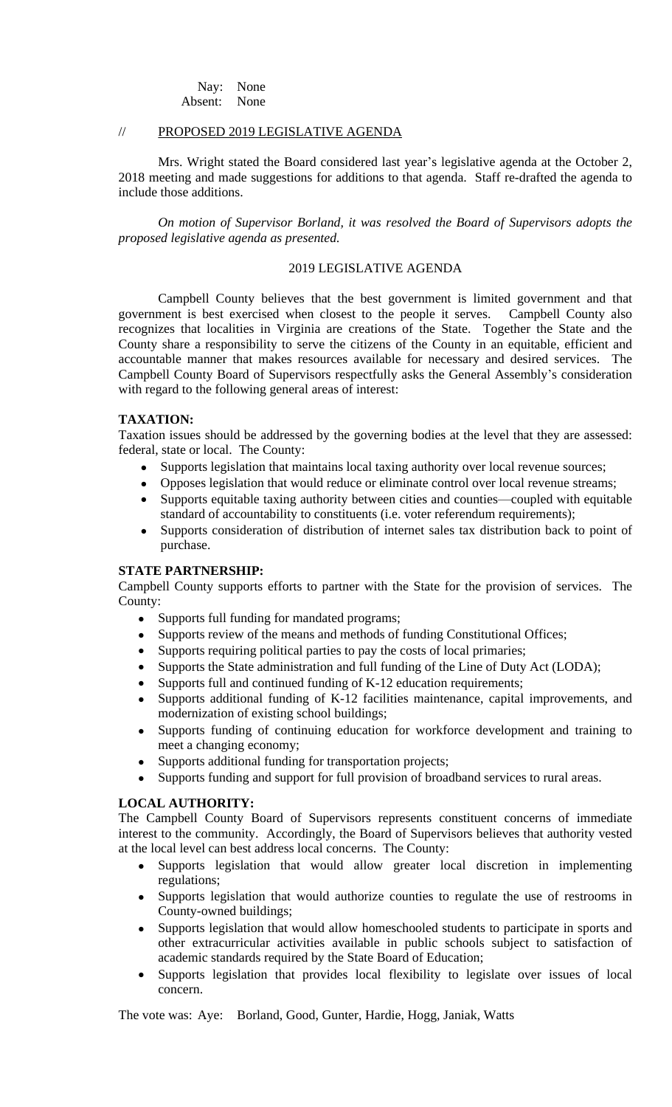Nay: None Absent: None

## // PROPOSED 2019 LEGISLATIVE AGENDA

Mrs. Wright stated the Board considered last year's legislative agenda at the October 2, 2018 meeting and made suggestions for additions to that agenda. Staff re-drafted the agenda to include those additions.

*On motion of Supervisor Borland, it was resolved the Board of Supervisors adopts the proposed legislative agenda as presented.*

### 2019 LEGISLATIVE AGENDA

Campbell County believes that the best government is limited government and that government is best exercised when closest to the people it serves. Campbell County also recognizes that localities in Virginia are creations of the State. Together the State and the County share a responsibility to serve the citizens of the County in an equitable, efficient and accountable manner that makes resources available for necessary and desired services. The Campbell County Board of Supervisors respectfully asks the General Assembly's consideration with regard to the following general areas of interest:

### **TAXATION:**

Taxation issues should be addressed by the governing bodies at the level that they are assessed: federal, state or local. The County:

- Supports legislation that maintains local taxing authority over local revenue sources;
- Opposes legislation that would reduce or eliminate control over local revenue streams;
- Supports equitable taxing authority between cities and counties—coupled with equitable standard of accountability to constituents (i.e. voter referendum requirements);
- Supports consideration of distribution of internet sales tax distribution back to point of purchase.

## **STATE PARTNERSHIP:**

Campbell County supports efforts to partner with the State for the provision of services. The County:

- Supports full funding for mandated programs;<br>• Supports review of the means and methods of
- Supports review of the means and methods of funding Constitutional Offices;
- Supports requiring political parties to pay the costs of local primaries;
- Supports the State administration and full funding of the Line of Duty Act (LODA);
- Supports full and continued funding of K-12 education requirements;
- Supports additional funding of K-12 facilities maintenance, capital improvements, and modernization of existing school buildings;
- Supports funding of continuing education for workforce development and training to meet a changing economy;
- Supports additional funding for transportation projects;
- Supports funding and support for full provision of broadband services to rural areas.

## **LOCAL AUTHORITY:**

The Campbell County Board of Supervisors represents constituent concerns of immediate interest to the community. Accordingly, the Board of Supervisors believes that authority vested at the local level can best address local concerns. The County:

- Supports legislation that would allow greater local discretion in implementing regulations;
- Supports legislation that would authorize counties to regulate the use of restrooms in County-owned buildings;
- Supports legislation that would allow homeschooled students to participate in sports and other extracurricular activities available in public schools subject to satisfaction of academic standards required by the State Board of Education;
- Supports legislation that provides local flexibility to legislate over issues of local concern.

The vote was: Aye: Borland, Good, Gunter, Hardie, Hogg, Janiak, Watts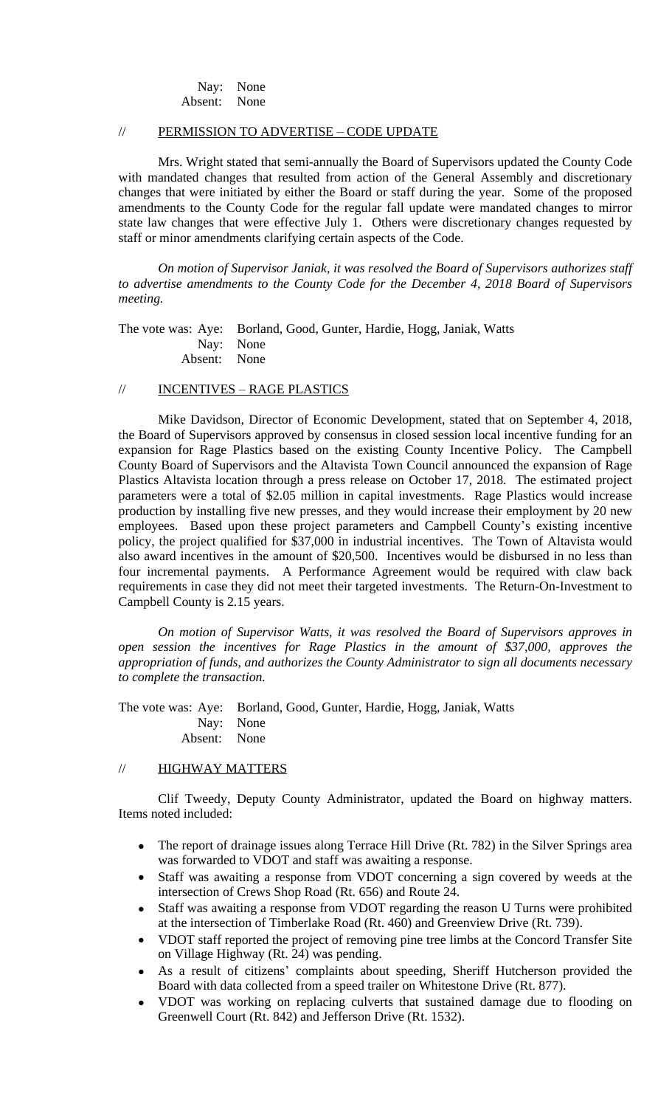Nay: None Absent: None

## // PERMISSION TO ADVERTISE – CODE UPDATE

Mrs. Wright stated that semi-annually the Board of Supervisors updated the County Code with mandated changes that resulted from action of the General Assembly and discretionary changes that were initiated by either the Board or staff during the year. Some of the proposed amendments to the County Code for the regular fall update were mandated changes to mirror state law changes that were effective July 1. Others were discretionary changes requested by staff or minor amendments clarifying certain aspects of the Code.

*On motion of Supervisor Janiak, it was resolved the Board of Supervisors authorizes staff to advertise amendments to the County Code for the December 4, 2018 Board of Supervisors meeting.*

The vote was: Aye: Borland, Good, Gunter, Hardie, Hogg, Janiak, Watts Nay: None Absent: None

# // INCENTIVES – RAGE PLASTICS

Mike Davidson, Director of Economic Development, stated that on September 4, 2018, the Board of Supervisors approved by consensus in closed session local incentive funding for an expansion for Rage Plastics based on the existing County Incentive Policy. The Campbell County Board of Supervisors and the Altavista Town Council announced the expansion of Rage Plastics Altavista location through a press release on October 17, 2018. The estimated project parameters were a total of \$2.05 million in capital investments. Rage Plastics would increase production by installing five new presses, and they would increase their employment by 20 new employees. Based upon these project parameters and Campbell County's existing incentive policy, the project qualified for \$37,000 in industrial incentives. The Town of Altavista would also award incentives in the amount of \$20,500. Incentives would be disbursed in no less than four incremental payments. A Performance Agreement would be required with claw back requirements in case they did not meet their targeted investments. The Return-On-Investment to Campbell County is 2.15 years.

*On motion of Supervisor Watts, it was resolved the Board of Supervisors approves in open session the incentives for Rage Plastics in the amount of \$37,000, approves the appropriation of funds, and authorizes the County Administrator to sign all documents necessary to complete the transaction.*

The vote was: Aye: Borland, Good, Gunter, Hardie, Hogg, Janiak, Watts Nay: None Absent: None

### // HIGHWAY MATTERS

Clif Tweedy, Deputy County Administrator, updated the Board on highway matters. Items noted included:

- The report of drainage issues along Terrace Hill Drive (Rt. 782) in the Silver Springs area was forwarded to VDOT and staff was awaiting a response.
- Staff was awaiting a response from VDOT concerning a sign covered by weeds at the intersection of Crews Shop Road (Rt. 656) and Route 24.
- Staff was awaiting a response from VDOT regarding the reason U Turns were prohibited at the intersection of Timberlake Road (Rt. 460) and Greenview Drive (Rt. 739).
- VDOT staff reported the project of removing pine tree limbs at the Concord Transfer Site on Village Highway (Rt. 24) was pending.
- As a result of citizens' complaints about speeding, Sheriff Hutcherson provided the Board with data collected from a speed trailer on Whitestone Drive (Rt. 877).
- VDOT was working on replacing culverts that sustained damage due to flooding on Greenwell Court (Rt. 842) and Jefferson Drive (Rt. 1532).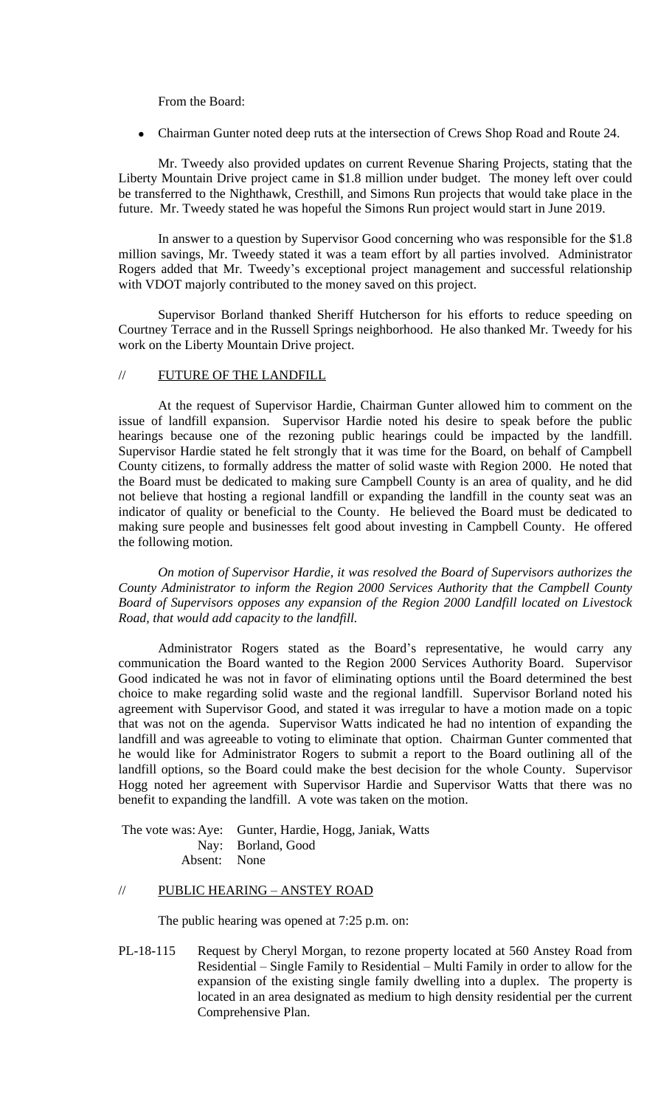From the Board:

Chairman Gunter noted deep ruts at the intersection of Crews Shop Road and Route 24.

Mr. Tweedy also provided updates on current Revenue Sharing Projects, stating that the Liberty Mountain Drive project came in \$1.8 million under budget. The money left over could be transferred to the Nighthawk, Cresthill, and Simons Run projects that would take place in the future. Mr. Tweedy stated he was hopeful the Simons Run project would start in June 2019.

In answer to a question by Supervisor Good concerning who was responsible for the \$1.8 million savings, Mr. Tweedy stated it was a team effort by all parties involved. Administrator Rogers added that Mr. Tweedy's exceptional project management and successful relationship with VDOT majorly contributed to the money saved on this project.

Supervisor Borland thanked Sheriff Hutcherson for his efforts to reduce speeding on Courtney Terrace and in the Russell Springs neighborhood. He also thanked Mr. Tweedy for his work on the Liberty Mountain Drive project.

### // FUTURE OF THE LANDFILL

At the request of Supervisor Hardie, Chairman Gunter allowed him to comment on the issue of landfill expansion. Supervisor Hardie noted his desire to speak before the public hearings because one of the rezoning public hearings could be impacted by the landfill. Supervisor Hardie stated he felt strongly that it was time for the Board, on behalf of Campbell County citizens, to formally address the matter of solid waste with Region 2000. He noted that the Board must be dedicated to making sure Campbell County is an area of quality, and he did not believe that hosting a regional landfill or expanding the landfill in the county seat was an indicator of quality or beneficial to the County. He believed the Board must be dedicated to making sure people and businesses felt good about investing in Campbell County. He offered the following motion.

*On motion of Supervisor Hardie, it was resolved the Board of Supervisors authorizes the County Administrator to inform the Region 2000 Services Authority that the Campbell County Board of Supervisors opposes any expansion of the Region 2000 Landfill located on Livestock Road, that would add capacity to the landfill.*

Administrator Rogers stated as the Board's representative, he would carry any communication the Board wanted to the Region 2000 Services Authority Board. Supervisor Good indicated he was not in favor of eliminating options until the Board determined the best choice to make regarding solid waste and the regional landfill. Supervisor Borland noted his agreement with Supervisor Good, and stated it was irregular to have a motion made on a topic that was not on the agenda. Supervisor Watts indicated he had no intention of expanding the landfill and was agreeable to voting to eliminate that option. Chairman Gunter commented that he would like for Administrator Rogers to submit a report to the Board outlining all of the landfill options, so the Board could make the best decision for the whole County. Supervisor Hogg noted her agreement with Supervisor Hardie and Supervisor Watts that there was no benefit to expanding the landfill. A vote was taken on the motion.

The vote was:Aye: Gunter, Hardie, Hogg, Janiak, Watts Nay: Borland, Good Absent: None

## // PUBLIC HEARING – ANSTEY ROAD

The public hearing was opened at 7:25 p.m. on:

PL-18-115 Request by Cheryl Morgan, to rezone property located at 560 Anstey Road from Residential – Single Family to Residential – Multi Family in order to allow for the expansion of the existing single family dwelling into a duplex. The property is located in an area designated as medium to high density residential per the current Comprehensive Plan.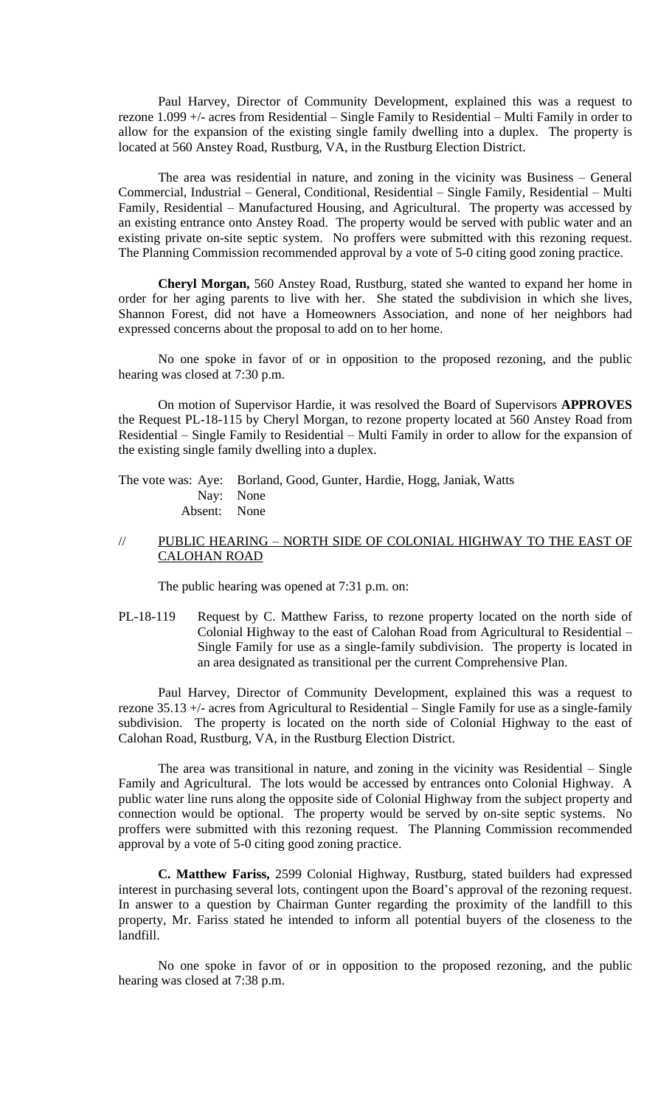Paul Harvey, Director of Community Development, explained this was a request to rezone 1.099 +/- acres from Residential – Single Family to Residential – Multi Family in order to allow for the expansion of the existing single family dwelling into a duplex. The property is located at 560 Anstey Road, Rustburg, VA, in the Rustburg Election District.

The area was residential in nature, and zoning in the vicinity was Business – General Commercial, Industrial – General, Conditional, Residential – Single Family, Residential – Multi Family, Residential – Manufactured Housing, and Agricultural. The property was accessed by an existing entrance onto Anstey Road. The property would be served with public water and an existing private on-site septic system. No proffers were submitted with this rezoning request. The Planning Commission recommended approval by a vote of 5-0 citing good zoning practice.

**Cheryl Morgan,** 560 Anstey Road, Rustburg, stated she wanted to expand her home in order for her aging parents to live with her. She stated the subdivision in which she lives, Shannon Forest, did not have a Homeowners Association, and none of her neighbors had expressed concerns about the proposal to add on to her home.

No one spoke in favor of or in opposition to the proposed rezoning, and the public hearing was closed at 7:30 p.m.

On motion of Supervisor Hardie, it was resolved the Board of Supervisors **APPROVES** the Request PL-18-115 by Cheryl Morgan, to rezone property located at 560 Anstey Road from Residential – Single Family to Residential – Multi Family in order to allow for the expansion of the existing single family dwelling into a duplex.

The vote was: Aye: Borland, Good, Gunter, Hardie, Hogg, Janiak, Watts Nay: None Absent: None

## // PUBLIC HEARING – NORTH SIDE OF COLONIAL HIGHWAY TO THE EAST OF CALOHAN ROAD

The public hearing was opened at 7:31 p.m. on:

PL-18-119 Request by C. Matthew Fariss, to rezone property located on the north side of Colonial Highway to the east of Calohan Road from Agricultural to Residential – Single Family for use as a single-family subdivision. The property is located in an area designated as transitional per the current Comprehensive Plan.

Paul Harvey, Director of Community Development, explained this was a request to rezone 35.13 +/- acres from Agricultural to Residential – Single Family for use as a single-family subdivision. The property is located on the north side of Colonial Highway to the east of Calohan Road, Rustburg, VA, in the Rustburg Election District.

The area was transitional in nature, and zoning in the vicinity was Residential – Single Family and Agricultural. The lots would be accessed by entrances onto Colonial Highway. A public water line runs along the opposite side of Colonial Highway from the subject property and connection would be optional. The property would be served by on-site septic systems. No proffers were submitted with this rezoning request. The Planning Commission recommended approval by a vote of 5-0 citing good zoning practice.

**C. Matthew Fariss,** 2599 Colonial Highway, Rustburg, stated builders had expressed interest in purchasing several lots, contingent upon the Board's approval of the rezoning request. In answer to a question by Chairman Gunter regarding the proximity of the landfill to this property, Mr. Fariss stated he intended to inform all potential buyers of the closeness to the landfill.

No one spoke in favor of or in opposition to the proposed rezoning, and the public hearing was closed at 7:38 p.m.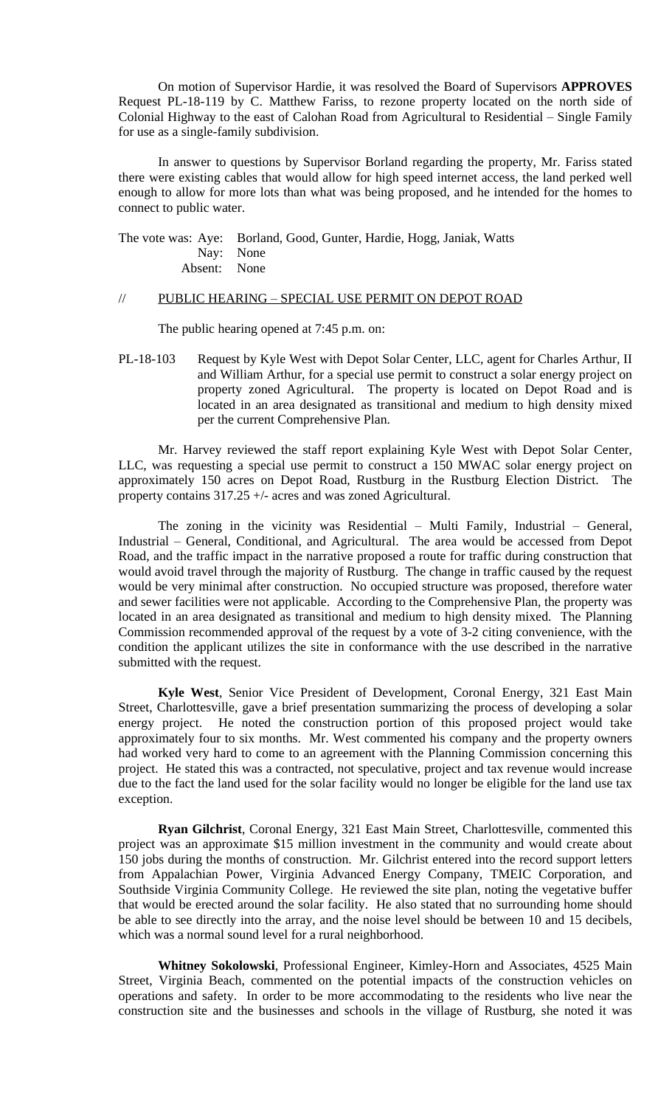On motion of Supervisor Hardie, it was resolved the Board of Supervisors **APPROVES** Request PL-18-119 by C. Matthew Fariss, to rezone property located on the north side of Colonial Highway to the east of Calohan Road from Agricultural to Residential – Single Family for use as a single-family subdivision.

In answer to questions by Supervisor Borland regarding the property, Mr. Fariss stated there were existing cables that would allow for high speed internet access, the land perked well enough to allow for more lots than what was being proposed, and he intended for the homes to connect to public water.

The vote was: Aye: Borland, Good, Gunter, Hardie, Hogg, Janiak, Watts Nay: None Absent: None

#### // PUBLIC HEARING – SPECIAL USE PERMIT ON DEPOT ROAD

The public hearing opened at 7:45 p.m. on:

PL-18-103 Request by Kyle West with Depot Solar Center, LLC, agent for Charles Arthur, II and William Arthur, for a special use permit to construct a solar energy project on property zoned Agricultural. The property is located on Depot Road and is located in an area designated as transitional and medium to high density mixed per the current Comprehensive Plan.

Mr. Harvey reviewed the staff report explaining Kyle West with Depot Solar Center, LLC, was requesting a special use permit to construct a 150 MWAC solar energy project on approximately 150 acres on Depot Road, Rustburg in the Rustburg Election District. The property contains 317.25 +/- acres and was zoned Agricultural.

The zoning in the vicinity was Residential – Multi Family, Industrial – General, Industrial – General, Conditional, and Agricultural. The area would be accessed from Depot Road, and the traffic impact in the narrative proposed a route for traffic during construction that would avoid travel through the majority of Rustburg. The change in traffic caused by the request would be very minimal after construction. No occupied structure was proposed, therefore water and sewer facilities were not applicable. According to the Comprehensive Plan, the property was located in an area designated as transitional and medium to high density mixed. The Planning Commission recommended approval of the request by a vote of 3-2 citing convenience, with the condition the applicant utilizes the site in conformance with the use described in the narrative submitted with the request.

**Kyle West**, Senior Vice President of Development, Coronal Energy, 321 East Main Street, Charlottesville, gave a brief presentation summarizing the process of developing a solar energy project. He noted the construction portion of this proposed project would take approximately four to six months. Mr. West commented his company and the property owners had worked very hard to come to an agreement with the Planning Commission concerning this project. He stated this was a contracted, not speculative, project and tax revenue would increase due to the fact the land used for the solar facility would no longer be eligible for the land use tax exception.

**Ryan Gilchrist**, Coronal Energy, 321 East Main Street, Charlottesville, commented this project was an approximate \$15 million investment in the community and would create about 150 jobs during the months of construction. Mr. Gilchrist entered into the record support letters from Appalachian Power, Virginia Advanced Energy Company, TMEIC Corporation, and Southside Virginia Community College. He reviewed the site plan, noting the vegetative buffer that would be erected around the solar facility. He also stated that no surrounding home should be able to see directly into the array, and the noise level should be between 10 and 15 decibels, which was a normal sound level for a rural neighborhood.

**Whitney Sokolowski**, Professional Engineer, Kimley-Horn and Associates, 4525 Main Street, Virginia Beach, commented on the potential impacts of the construction vehicles on operations and safety. In order to be more accommodating to the residents who live near the construction site and the businesses and schools in the village of Rustburg, she noted it was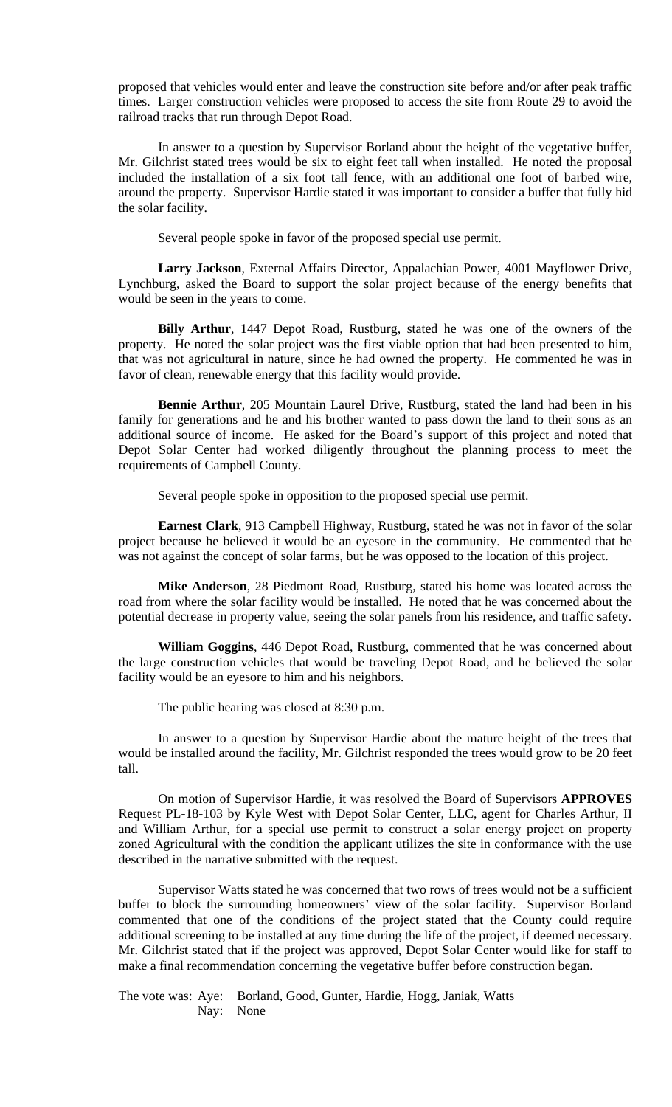proposed that vehicles would enter and leave the construction site before and/or after peak traffic times. Larger construction vehicles were proposed to access the site from Route 29 to avoid the railroad tracks that run through Depot Road.

In answer to a question by Supervisor Borland about the height of the vegetative buffer, Mr. Gilchrist stated trees would be six to eight feet tall when installed. He noted the proposal included the installation of a six foot tall fence, with an additional one foot of barbed wire, around the property. Supervisor Hardie stated it was important to consider a buffer that fully hid the solar facility.

Several people spoke in favor of the proposed special use permit.

**Larry Jackson**, External Affairs Director, Appalachian Power, 4001 Mayflower Drive, Lynchburg, asked the Board to support the solar project because of the energy benefits that would be seen in the years to come.

**Billy Arthur**, 1447 Depot Road, Rustburg, stated he was one of the owners of the property. He noted the solar project was the first viable option that had been presented to him, that was not agricultural in nature, since he had owned the property. He commented he was in favor of clean, renewable energy that this facility would provide.

**Bennie Arthur**, 205 Mountain Laurel Drive, Rustburg, stated the land had been in his family for generations and he and his brother wanted to pass down the land to their sons as an additional source of income. He asked for the Board's support of this project and noted that Depot Solar Center had worked diligently throughout the planning process to meet the requirements of Campbell County.

Several people spoke in opposition to the proposed special use permit.

**Earnest Clark**, 913 Campbell Highway, Rustburg, stated he was not in favor of the solar project because he believed it would be an eyesore in the community. He commented that he was not against the concept of solar farms, but he was opposed to the location of this project.

**Mike Anderson**, 28 Piedmont Road, Rustburg, stated his home was located across the road from where the solar facility would be installed. He noted that he was concerned about the potential decrease in property value, seeing the solar panels from his residence, and traffic safety.

**William Goggins**, 446 Depot Road, Rustburg, commented that he was concerned about the large construction vehicles that would be traveling Depot Road, and he believed the solar facility would be an eyesore to him and his neighbors.

The public hearing was closed at 8:30 p.m.

In answer to a question by Supervisor Hardie about the mature height of the trees that would be installed around the facility, Mr. Gilchrist responded the trees would grow to be 20 feet tall.

On motion of Supervisor Hardie, it was resolved the Board of Supervisors **APPROVES** Request PL-18-103 by Kyle West with Depot Solar Center, LLC, agent for Charles Arthur, II and William Arthur, for a special use permit to construct a solar energy project on property zoned Agricultural with the condition the applicant utilizes the site in conformance with the use described in the narrative submitted with the request.

Supervisor Watts stated he was concerned that two rows of trees would not be a sufficient buffer to block the surrounding homeowners' view of the solar facility. Supervisor Borland commented that one of the conditions of the project stated that the County could require additional screening to be installed at any time during the life of the project, if deemed necessary. Mr. Gilchrist stated that if the project was approved, Depot Solar Center would like for staff to make a final recommendation concerning the vegetative buffer before construction began.

The vote was: Aye: Borland, Good, Gunter, Hardie, Hogg, Janiak, Watts Nay: None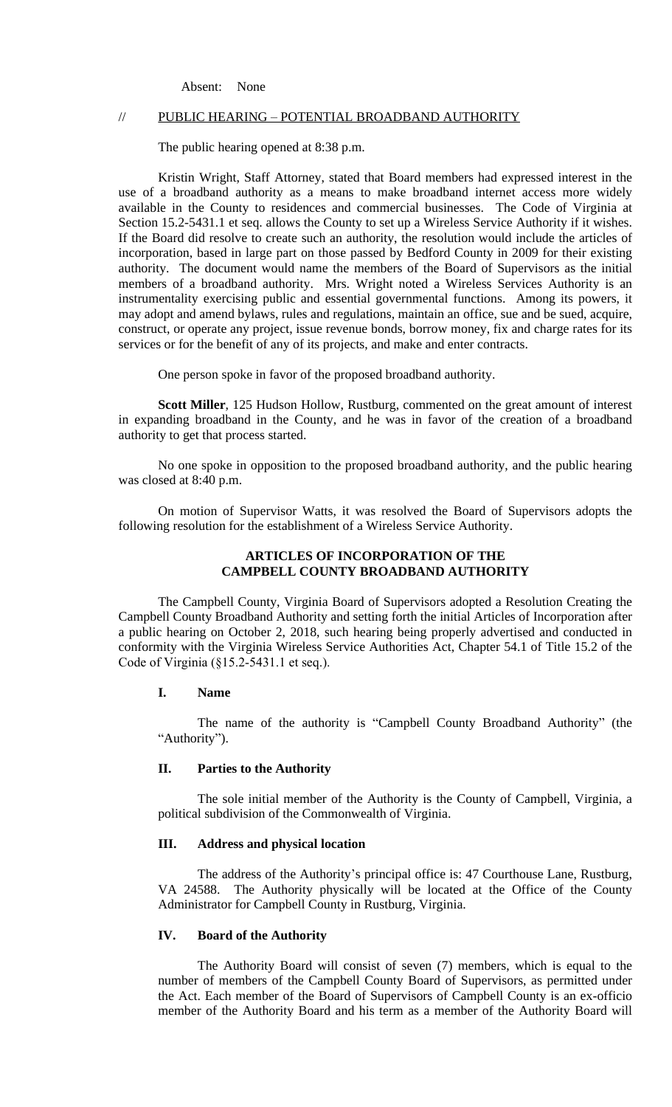Absent: None

### // PUBLIC HEARING – POTENTIAL BROADBAND AUTHORITY

The public hearing opened at 8:38 p.m.

Kristin Wright, Staff Attorney, stated that Board members had expressed interest in the use of a broadband authority as a means to make broadband internet access more widely available in the County to residences and commercial businesses. The Code of Virginia at Section 15.2-5431.1 et seq. allows the County to set up a Wireless Service Authority if it wishes. If the Board did resolve to create such an authority, the resolution would include the articles of incorporation, based in large part on those passed by Bedford County in 2009 for their existing authority. The document would name the members of the Board of Supervisors as the initial members of a broadband authority. Mrs. Wright noted a Wireless Services Authority is an instrumentality exercising public and essential governmental functions. Among its powers, it may adopt and amend bylaws, rules and regulations, maintain an office, sue and be sued, acquire, construct, or operate any project, issue revenue bonds, borrow money, fix and charge rates for its services or for the benefit of any of its projects, and make and enter contracts.

One person spoke in favor of the proposed broadband authority.

**Scott Miller**, 125 Hudson Hollow, Rustburg, commented on the great amount of interest in expanding broadband in the County, and he was in favor of the creation of a broadband authority to get that process started.

No one spoke in opposition to the proposed broadband authority, and the public hearing was closed at 8:40 p.m.

On motion of Supervisor Watts, it was resolved the Board of Supervisors adopts the following resolution for the establishment of a Wireless Service Authority.

## **ARTICLES OF INCORPORATION OF THE CAMPBELL COUNTY BROADBAND AUTHORITY**

The Campbell County, Virginia Board of Supervisors adopted a Resolution Creating the Campbell County Broadband Authority and setting forth the initial Articles of Incorporation after a public hearing on October 2, 2018, such hearing being properly advertised and conducted in conformity with the Virginia Wireless Service Authorities Act, Chapter 54.1 of Title 15.2 of the Code of Virginia (§15.2-5431.1 et seq.).

## **I. Name**

The name of the authority is "Campbell County Broadband Authority" (the "Authority").

### **II. Parties to the Authority**

The sole initial member of the Authority is the County of Campbell, Virginia, a political subdivision of the Commonwealth of Virginia.

### **III. Address and physical location**

The address of the Authority's principal office is: 47 Courthouse Lane, Rustburg, VA 24588. The Authority physically will be located at the Office of the County Administrator for Campbell County in Rustburg, Virginia.

# **IV. Board of the Authority**

The Authority Board will consist of seven (7) members, which is equal to the number of members of the Campbell County Board of Supervisors, as permitted under the Act. Each member of the Board of Supervisors of Campbell County is an ex-officio member of the Authority Board and his term as a member of the Authority Board will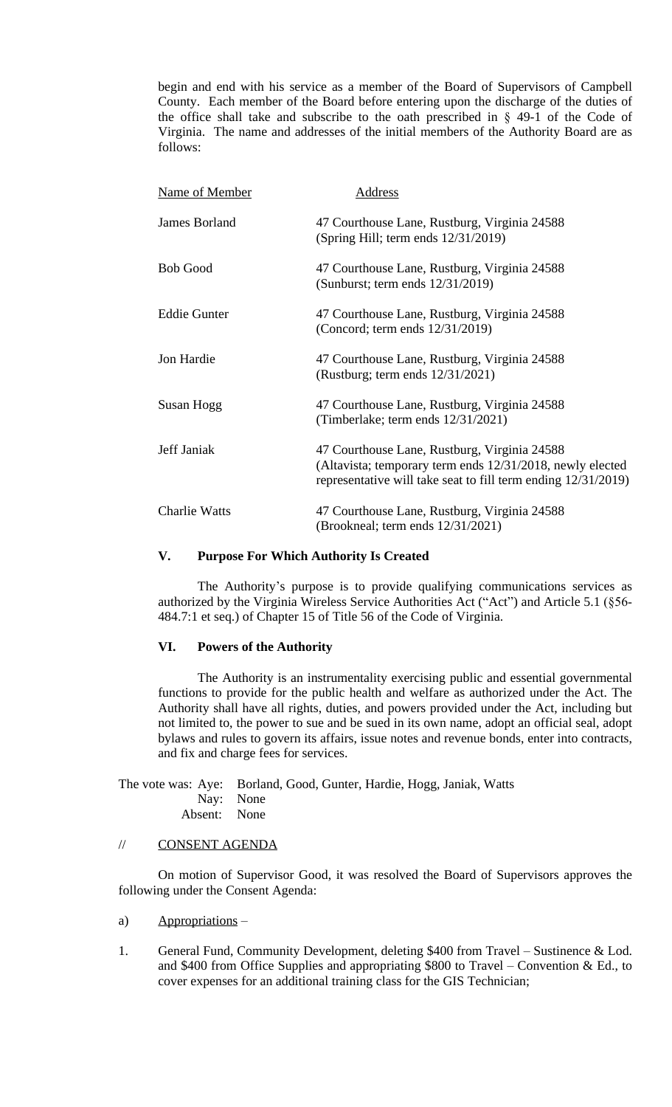begin and end with his service as a member of the Board of Supervisors of Campbell County. Each member of the Board before entering upon the discharge of the duties of the office shall take and subscribe to the oath prescribed in  $\S$  49-1 of the Code of Virginia. The name and addresses of the initial members of the Authority Board are as follows:

| Name of Member       | Address                                                                                                                                                                    |
|----------------------|----------------------------------------------------------------------------------------------------------------------------------------------------------------------------|
| <b>James Borland</b> | 47 Courthouse Lane, Rustburg, Virginia 24588<br>(Spring Hill; term ends $12/31/2019$ )                                                                                     |
| <b>Bob Good</b>      | 47 Courthouse Lane, Rustburg, Virginia 24588<br>(Sunburst; term ends 12/31/2019)                                                                                           |
| Eddie Gunter         | 47 Courthouse Lane, Rustburg, Virginia 24588<br>(Concord; term ends 12/31/2019)                                                                                            |
| Jon Hardie           | 47 Courthouse Lane, Rustburg, Virginia 24588<br>(Rustburg; term ends 12/31/2021)                                                                                           |
| Susan Hogg           | 47 Courthouse Lane, Rustburg, Virginia 24588<br>(Timberlake; term ends 12/31/2021)                                                                                         |
| Jeff Janiak          | 47 Courthouse Lane, Rustburg, Virginia 24588<br>(Altavista; temporary term ends 12/31/2018, newly elected<br>representative will take seat to fill term ending 12/31/2019) |
| <b>Charlie Watts</b> | 47 Courthouse Lane, Rustburg, Virginia 24588<br>(Brookneal; term ends $12/31/2021$ )                                                                                       |

# **V. Purpose For Which Authority Is Created**

The Authority's purpose is to provide qualifying communications services as authorized by the Virginia Wireless Service Authorities Act ("Act") and Article 5.1 (§56- 484.7:1 et seq.) of Chapter 15 of Title 56 of the Code of Virginia.

## **VI. Powers of the Authority**

The Authority is an instrumentality exercising public and essential governmental functions to provide for the public health and welfare as authorized under the Act. The Authority shall have all rights, duties, and powers provided under the Act, including but not limited to, the power to sue and be sued in its own name, adopt an official seal, adopt bylaws and rules to govern its affairs, issue notes and revenue bonds, enter into contracts, and fix and charge fees for services.

The vote was: Aye: Borland, Good, Gunter, Hardie, Hogg, Janiak, Watts Nay: None Absent: None

## // CONSENT AGENDA

On motion of Supervisor Good, it was resolved the Board of Supervisors approves the following under the Consent Agenda:

### a) Appropriations –

1. General Fund, Community Development, deleting \$400 from Travel – Sustinence & Lod. and \$400 from Office Supplies and appropriating \$800 to Travel – Convention & Ed., to cover expenses for an additional training class for the GIS Technician;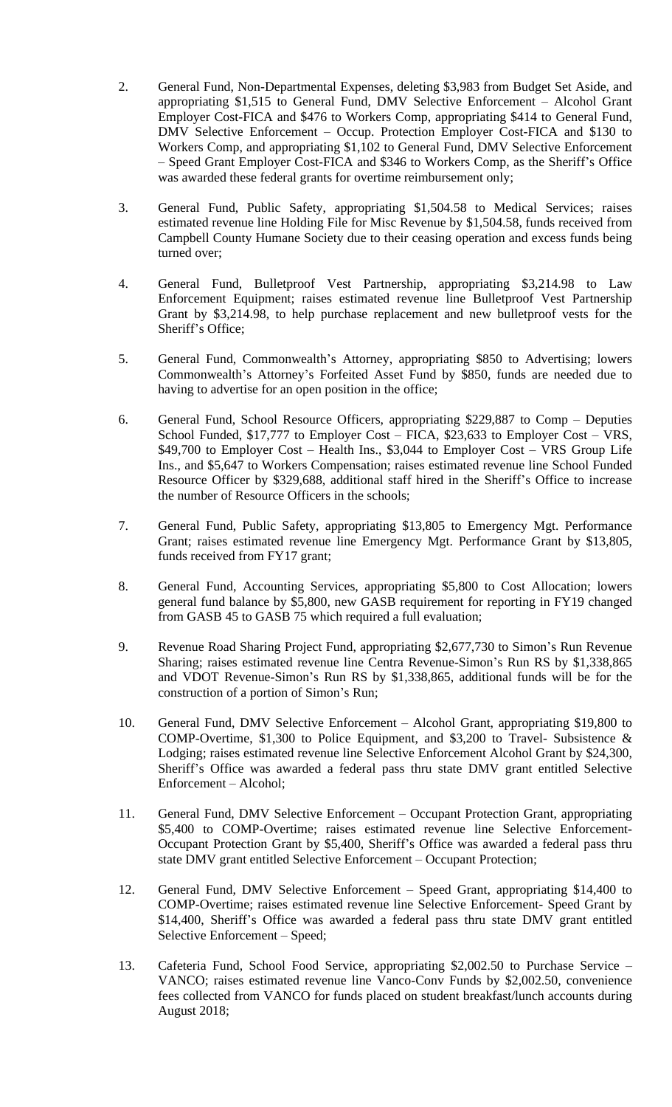- 2. General Fund, Non-Departmental Expenses, deleting \$3,983 from Budget Set Aside, and appropriating \$1,515 to General Fund, DMV Selective Enforcement – Alcohol Grant Employer Cost-FICA and \$476 to Workers Comp, appropriating \$414 to General Fund, DMV Selective Enforcement – Occup. Protection Employer Cost-FICA and \$130 to Workers Comp, and appropriating \$1,102 to General Fund, DMV Selective Enforcement – Speed Grant Employer Cost-FICA and \$346 to Workers Comp, as the Sheriff's Office was awarded these federal grants for overtime reimbursement only;
- 3. General Fund, Public Safety, appropriating \$1,504.58 to Medical Services; raises estimated revenue line Holding File for Misc Revenue by \$1,504.58, funds received from Campbell County Humane Society due to their ceasing operation and excess funds being turned over;
- 4. General Fund, Bulletproof Vest Partnership, appropriating \$3,214.98 to Law Enforcement Equipment; raises estimated revenue line Bulletproof Vest Partnership Grant by \$3,214.98, to help purchase replacement and new bulletproof vests for the Sheriff's Office;
- 5. General Fund, Commonwealth's Attorney, appropriating \$850 to Advertising; lowers Commonwealth's Attorney's Forfeited Asset Fund by \$850, funds are needed due to having to advertise for an open position in the office;
- 6. General Fund, School Resource Officers, appropriating \$229,887 to Comp Deputies School Funded, \$17,777 to Employer Cost – FICA, \$23,633 to Employer Cost – VRS, \$49,700 to Employer Cost – Health Ins., \$3,044 to Employer Cost – VRS Group Life Ins., and \$5,647 to Workers Compensation; raises estimated revenue line School Funded Resource Officer by \$329,688, additional staff hired in the Sheriff's Office to increase the number of Resource Officers in the schools;
- 7. General Fund, Public Safety, appropriating \$13,805 to Emergency Mgt. Performance Grant; raises estimated revenue line Emergency Mgt. Performance Grant by \$13,805, funds received from FY17 grant;
- 8. General Fund, Accounting Services, appropriating \$5,800 to Cost Allocation; lowers general fund balance by \$5,800, new GASB requirement for reporting in FY19 changed from GASB 45 to GASB 75 which required a full evaluation;
- 9. Revenue Road Sharing Project Fund, appropriating \$2,677,730 to Simon's Run Revenue Sharing; raises estimated revenue line Centra Revenue-Simon's Run RS by \$1,338,865 and VDOT Revenue-Simon's Run RS by \$1,338,865, additional funds will be for the construction of a portion of Simon's Run;
- 10. General Fund, DMV Selective Enforcement Alcohol Grant, appropriating \$19,800 to COMP-Overtime, \$1,300 to Police Equipment, and \$3,200 to Travel- Subsistence & Lodging; raises estimated revenue line Selective Enforcement Alcohol Grant by \$24,300, Sheriff's Office was awarded a federal pass thru state DMV grant entitled Selective Enforcement – Alcohol;
- 11. General Fund, DMV Selective Enforcement Occupant Protection Grant, appropriating \$5,400 to COMP-Overtime; raises estimated revenue line Selective Enforcement-Occupant Protection Grant by \$5,400, Sheriff's Office was awarded a federal pass thru state DMV grant entitled Selective Enforcement – Occupant Protection;
- 12. General Fund, DMV Selective Enforcement Speed Grant, appropriating \$14,400 to COMP-Overtime; raises estimated revenue line Selective Enforcement- Speed Grant by \$14,400, Sheriff's Office was awarded a federal pass thru state DMV grant entitled Selective Enforcement – Speed;
- 13. Cafeteria Fund, School Food Service, appropriating \$2,002.50 to Purchase Service VANCO; raises estimated revenue line Vanco-Conv Funds by \$2,002.50, convenience fees collected from VANCO for funds placed on student breakfast/lunch accounts during August 2018;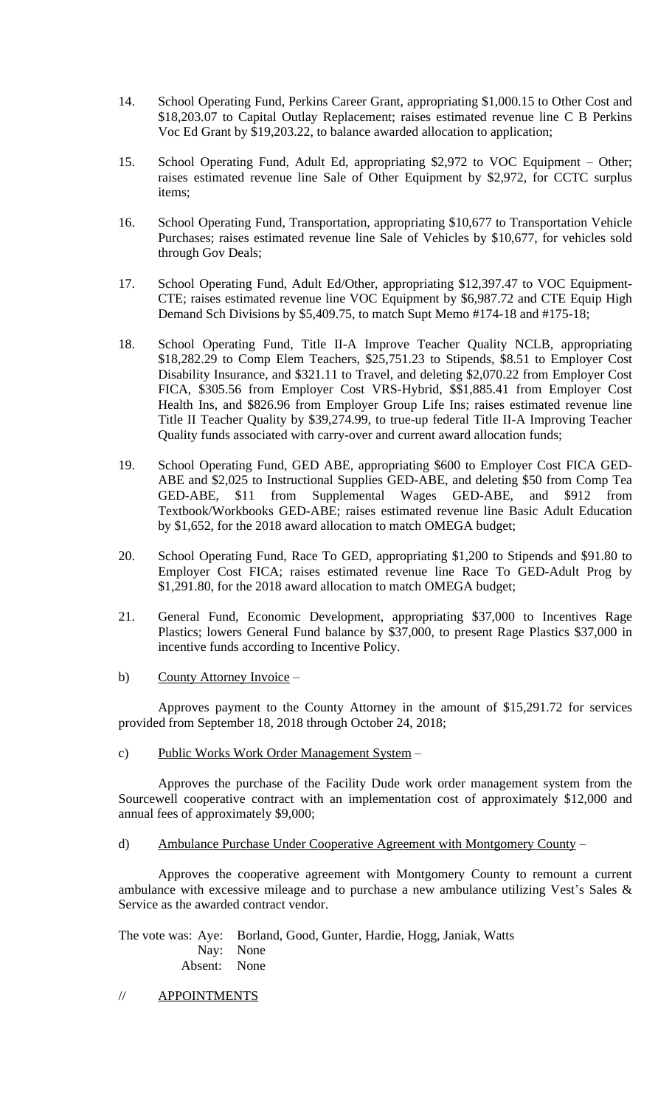- 14. School Operating Fund, Perkins Career Grant, appropriating \$1,000.15 to Other Cost and \$18,203.07 to Capital Outlay Replacement; raises estimated revenue line C B Perkins Voc Ed Grant by \$19,203.22, to balance awarded allocation to application;
- 15. School Operating Fund, Adult Ed, appropriating \$2,972 to VOC Equipment Other; raises estimated revenue line Sale of Other Equipment by \$2,972, for CCTC surplus items;
- 16. School Operating Fund, Transportation, appropriating \$10,677 to Transportation Vehicle Purchases; raises estimated revenue line Sale of Vehicles by \$10,677, for vehicles sold through Gov Deals;
- 17. School Operating Fund, Adult Ed/Other, appropriating \$12,397.47 to VOC Equipment-CTE; raises estimated revenue line VOC Equipment by \$6,987.72 and CTE Equip High Demand Sch Divisions by \$5,409.75, to match Supt Memo #174-18 and #175-18;
- 18. School Operating Fund, Title II-A Improve Teacher Quality NCLB, appropriating \$18,282.29 to Comp Elem Teachers, \$25,751.23 to Stipends, \$8.51 to Employer Cost Disability Insurance, and \$321.11 to Travel, and deleting \$2,070.22 from Employer Cost FICA, \$305.56 from Employer Cost VRS-Hybrid, \$\$1,885.41 from Employer Cost Health Ins, and \$826.96 from Employer Group Life Ins; raises estimated revenue line Title II Teacher Quality by \$39,274.99, to true-up federal Title II-A Improving Teacher Quality funds associated with carry-over and current award allocation funds;
- 19. School Operating Fund, GED ABE, appropriating \$600 to Employer Cost FICA GED-ABE and \$2,025 to Instructional Supplies GED-ABE, and deleting \$50 from Comp Tea GED-ABE, \$11 from Supplemental Wages GED-ABE, and \$912 from GED-ABE, \$11 from Supplemental Wages GED-ABE, and \$912 from Textbook/Workbooks GED-ABE; raises estimated revenue line Basic Adult Education by \$1,652, for the 2018 award allocation to match OMEGA budget;
- 20. School Operating Fund, Race To GED, appropriating \$1,200 to Stipends and \$91.80 to Employer Cost FICA; raises estimated revenue line Race To GED-Adult Prog by \$1,291.80, for the 2018 award allocation to match OMEGA budget;
- 21. General Fund, Economic Development, appropriating \$37,000 to Incentives Rage Plastics; lowers General Fund balance by \$37,000, to present Rage Plastics \$37,000 in incentive funds according to Incentive Policy.
- b) County Attorney Invoice –

Approves payment to the County Attorney in the amount of \$15,291.72 for services provided from September 18, 2018 through October 24, 2018;

c) Public Works Work Order Management System –

Approves the purchase of the Facility Dude work order management system from the Sourcewell cooperative contract with an implementation cost of approximately \$12,000 and annual fees of approximately \$9,000;

d) Ambulance Purchase Under Cooperative Agreement with Montgomery County –

Approves the cooperative agreement with Montgomery County to remount a current ambulance with excessive mileage and to purchase a new ambulance utilizing Vest's Sales & Service as the awarded contract vendor.

The vote was: Aye: Borland, Good, Gunter, Hardie, Hogg, Janiak, Watts Nay: None Absent: None

# // APPOINTMENTS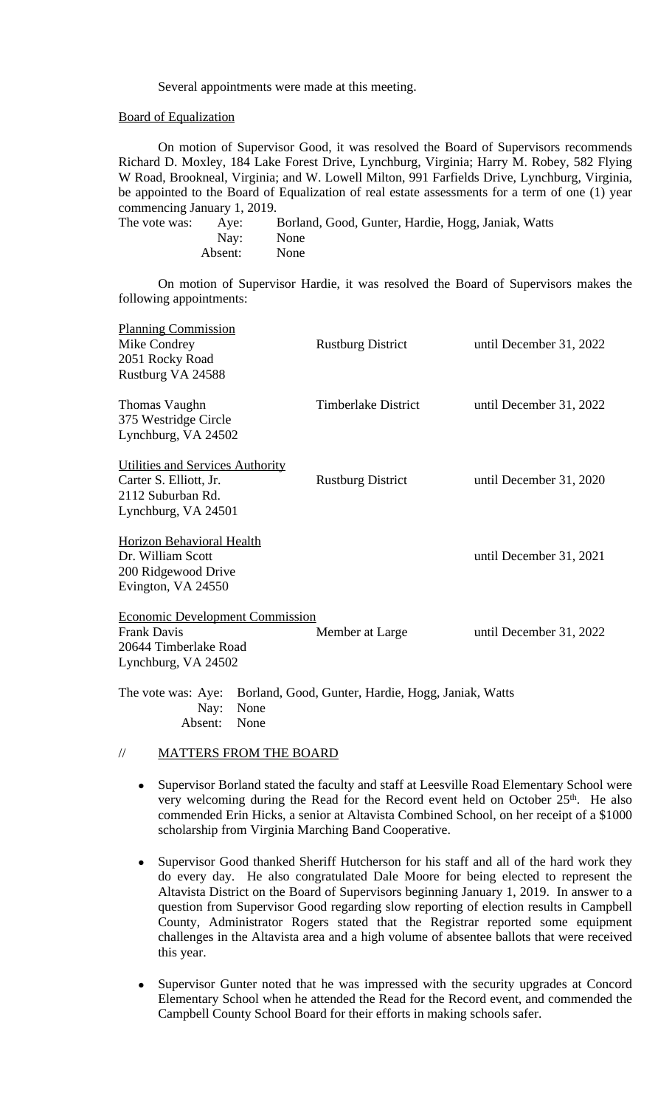Several appointments were made at this meeting.

#### Board of Equalization

On motion of Supervisor Good, it was resolved the Board of Supervisors recommends Richard D. Moxley, 184 Lake Forest Drive, Lynchburg, Virginia; Harry M. Robey, 582 Flying W Road, Brookneal, Virginia; and W. Lowell Milton, 991 Farfields Drive, Lynchburg, Virginia, be appointed to the Board of Equalization of real estate assessments for a term of one (1) year commencing January 1, 2019.

The vote was: Aye: Borland, Good, Gunter, Hardie, Hogg, Janiak, Watts Nay: None Absent: None

On motion of Supervisor Hardie, it was resolved the Board of Supervisors makes the following appointments:

| <b>Planning Commission</b><br>Mike Condrey<br>2051 Rocky Road<br>Rustburg VA 24588                           | <b>Rustburg District</b> | until December 31, 2022 |  |  |
|--------------------------------------------------------------------------------------------------------------|--------------------------|-------------------------|--|--|
| Thomas Vaughn<br>375 Westridge Circle<br>Lynchburg, VA 24502                                                 | Timberlake District      | until December 31, 2022 |  |  |
| Utilities and Services Authority<br>Carter S. Elliott, Jr.<br>2112 Suburban Rd.<br>Lynchburg, VA 24501       | <b>Rustburg District</b> | until December 31, 2020 |  |  |
| <u> Horizon Behavioral Health</u><br>Dr. William Scott<br>200 Ridgewood Drive<br>Evington, VA 24550          |                          | until December 31, 2021 |  |  |
| <b>Economic Development Commission</b><br><b>Frank Davis</b><br>20644 Timberlake Road<br>Lynchburg, VA 24502 | Member at Large          | until December 31, 2022 |  |  |
| The vote was: Aye: Borland, Good, Gunter, Hardie, Hogg, Janiak, Watts<br>None<br>Nay:                        |                          |                         |  |  |

 Absent: None // MATTERS FROM THE BOARD

- Supervisor Borland stated the faculty and staff at Leesville Road Elementary School were very welcoming during the Read for the Record event held on October 25<sup>th</sup>. He also commended Erin Hicks, a senior at Altavista Combined School, on her receipt of a \$1000 scholarship from Virginia Marching Band Cooperative.
- Supervisor Good thanked Sheriff Hutcherson for his staff and all of the hard work they do every day. He also congratulated Dale Moore for being elected to represent the Altavista District on the Board of Supervisors beginning January 1, 2019. In answer to a question from Supervisor Good regarding slow reporting of election results in Campbell County, Administrator Rogers stated that the Registrar reported some equipment challenges in the Altavista area and a high volume of absentee ballots that were received this year.
- Supervisor Gunter noted that he was impressed with the security upgrades at Concord Elementary School when he attended the Read for the Record event, and commended the Campbell County School Board for their efforts in making schools safer.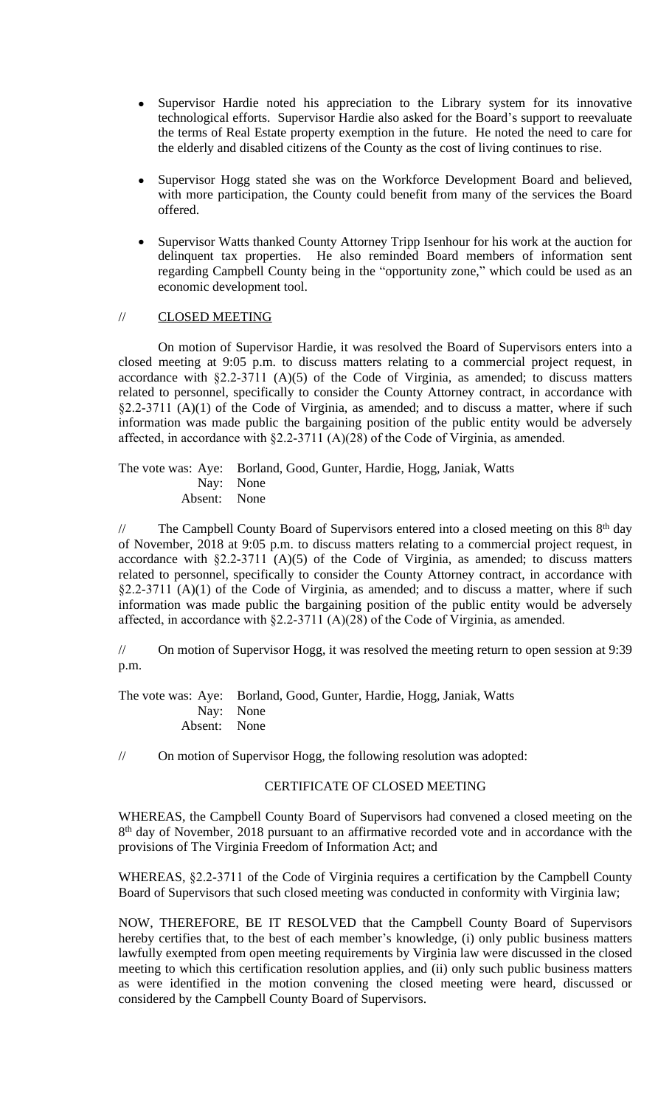- Supervisor Hardie noted his appreciation to the Library system for its innovative technological efforts. Supervisor Hardie also asked for the Board's support to reevaluate the terms of Real Estate property exemption in the future. He noted the need to care for the elderly and disabled citizens of the County as the cost of living continues to rise.
- Supervisor Hogg stated she was on the Workforce Development Board and believed, with more participation, the County could benefit from many of the services the Board offered.
- Supervisor Watts thanked County Attorney Tripp Isenhour for his work at the auction for delinquent tax properties. He also reminded Board members of information sent regarding Campbell County being in the "opportunity zone," which could be used as an economic development tool.

# // CLOSED MEETING

On motion of Supervisor Hardie, it was resolved the Board of Supervisors enters into a closed meeting at 9:05 p.m. to discuss matters relating to a commercial project request, in accordance with §2.2-3711 (A)(5) of the Code of Virginia, as amended; to discuss matters related to personnel, specifically to consider the County Attorney contract, in accordance with §2.2-3711 (A)(1) of the Code of Virginia, as amended; and to discuss a matter, where if such information was made public the bargaining position of the public entity would be adversely affected, in accordance with §2.2-3711 (A)(28) of the Code of Virginia, as amended.

The vote was: Aye: Borland, Good, Gunter, Hardie, Hogg, Janiak, Watts Nay: None Absent: None

// The Campbell County Board of Supervisors entered into a closed meeting on this 8<sup>th</sup> day of November, 2018 at 9:05 p.m. to discuss matters relating to a commercial project request, in accordance with  $\S2.2-3711$  (A)(5) of the Code of Virginia, as amended; to discuss matters related to personnel, specifically to consider the County Attorney contract, in accordance with §2.2-3711 (A)(1) of the Code of Virginia, as amended; and to discuss a matter, where if such information was made public the bargaining position of the public entity would be adversely affected, in accordance with §2.2-3711 (A)(28) of the Code of Virginia, as amended.

// On motion of Supervisor Hogg, it was resolved the meeting return to open session at 9:39 p.m.

The vote was: Aye: Borland, Good, Gunter, Hardie, Hogg, Janiak, Watts Nay: None Absent: None

// On motion of Supervisor Hogg, the following resolution was adopted:

## CERTIFICATE OF CLOSED MEETING

WHEREAS, the Campbell County Board of Supervisors had convened a closed meeting on the 8<sup>th</sup> day of November, 2018 pursuant to an affirmative recorded vote and in accordance with the provisions of The Virginia Freedom of Information Act; and

WHEREAS, §2.2-3711 of the Code of Virginia requires a certification by the Campbell County Board of Supervisors that such closed meeting was conducted in conformity with Virginia law;

NOW, THEREFORE, BE IT RESOLVED that the Campbell County Board of Supervisors hereby certifies that, to the best of each member's knowledge, (i) only public business matters lawfully exempted from open meeting requirements by Virginia law were discussed in the closed meeting to which this certification resolution applies, and (ii) only such public business matters as were identified in the motion convening the closed meeting were heard, discussed or considered by the Campbell County Board of Supervisors.